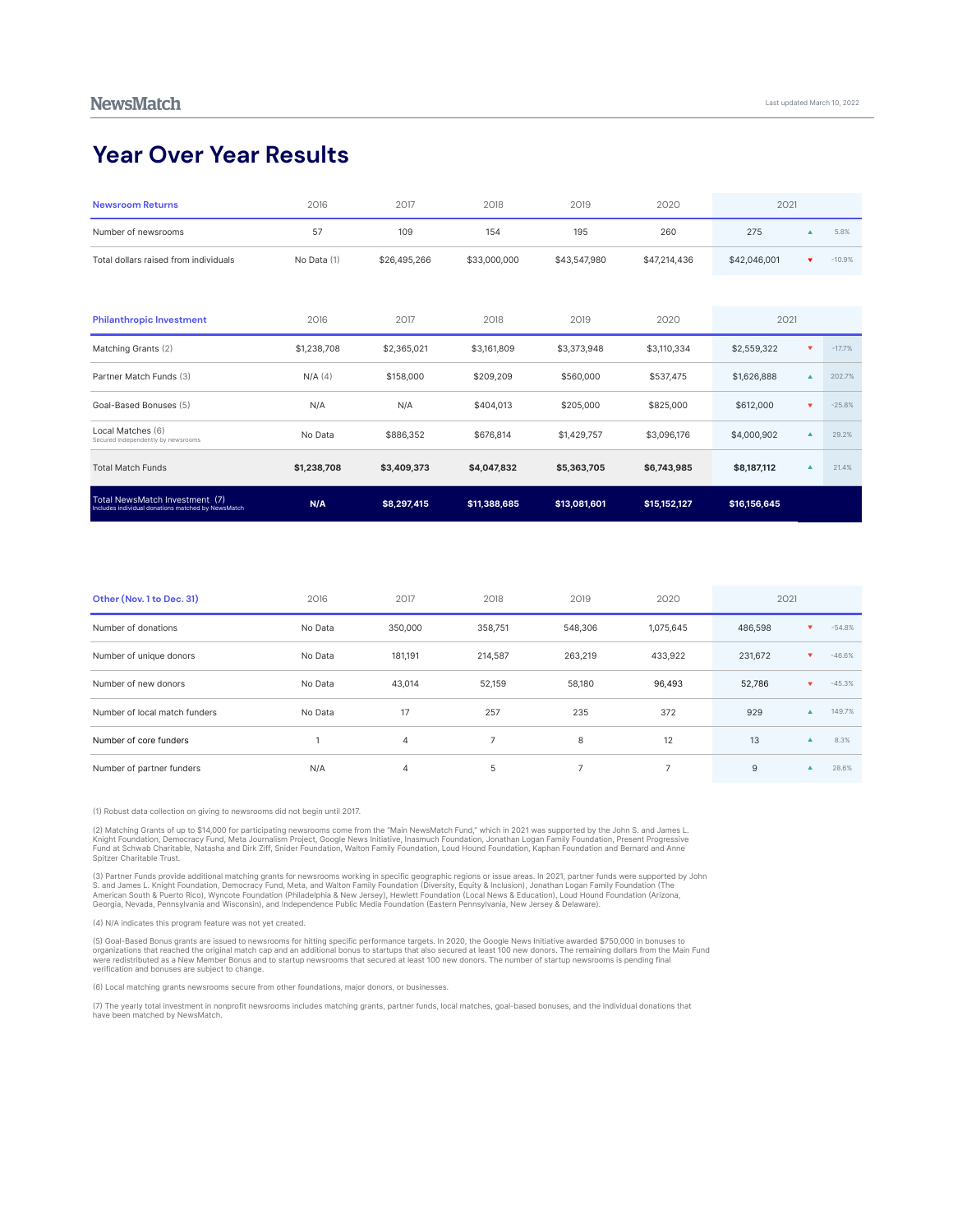## **Year Over Year Results**

| <b>Newsroom Returns</b>                                                              | 2016        | 2017         | 2018         | 2019         | 2020         | 2021         |                         |          |
|--------------------------------------------------------------------------------------|-------------|--------------|--------------|--------------|--------------|--------------|-------------------------|----------|
| Number of newsrooms                                                                  | 57          | 109          | 154          | 195          | 260          | 275          |                         | 5.8%     |
| Total dollars raised from individuals                                                | No Data (1) | \$26,495,266 | \$33,000,000 | \$43,547,980 | \$47,214,436 | \$42,046,001 | $\overline{\mathbf{v}}$ | $-10.9%$ |
|                                                                                      |             |              |              |              |              |              |                         |          |
| <b>Philanthropic Investment</b>                                                      | 2016        | 2017         | 2018         | 2019         | 2020         | 2021         |                         |          |
| Matching Grants (2)                                                                  | \$1,238,708 | \$2,365,021  | \$3,161,809  | \$3,373,948  | \$3,110,334  | \$2,559,322  |                         | $-17.7%$ |
| Partner Match Funds (3)                                                              | $N/A$ (4)   | \$158,000    | \$209,209    | \$560,000    | \$537,475    | \$1,626,888  |                         | 202.7%   |
| Goal-Based Bonuses (5)                                                               | N/A         | N/A          | \$404,013    | \$205,000    | \$825,000    | \$612,000    | $\overline{\mathbf{v}}$ | $-25.8%$ |
| Local Matches (6)<br>Secured independently by newsrooms                              | No Data     | \$886,352    | \$676,814    | \$1,429,757  | \$3,096,176  | \$4,000,902  |                         | 29.2%    |
| <b>Total Match Funds</b>                                                             | \$1,238,708 | \$3,409,373  | \$4,047,832  | \$5,363,705  | \$6,743,985  | \$8,187,112  | ▲                       | 21.4%    |
| Total NewsMatch Investment (7)<br>Includes individual donations matched by NewsMatch | N/A         | \$8,297,415  | \$11,388,685 | \$13,081,601 | \$15,152,127 | \$16,156,645 |                         |          |

| Other (Nov. 1 to Dec. 31)     | 2016    | 2017    | 2018           | 2019    | 2020      | 2021    |                  |          |
|-------------------------------|---------|---------|----------------|---------|-----------|---------|------------------|----------|
| Number of donations           | No Data | 350,000 | 358,751        | 548,306 | 1,075,645 | 486,598 | v                | $-54.8%$ |
| Number of unique donors       | No Data | 181,191 | 214,587        | 263,219 | 433,922   | 231,672 | v.               | $-46.6%$ |
| Number of new donors          | No Data | 43,014  | 52,159         | 58,180  | 96,493    | 52,786  | ▼                | $-45.3%$ |
| Number of local match funders | No Data | 17      | 257            | 235     | 372       | 929     |                  | 149.7%   |
| Number of core funders        |         | 4       | $\overline{ }$ | 8       | 12        | 13      | $\blacktriangle$ | 8.3%     |
| Number of partner funders     | N/A     | 4       | 5              | ۰       |           | 9       |                  | 28.6%    |

(1) Robust data collection on giving to newsrooms did not begin until 2017.

2) Matching Grants of up to \$14,000 for participating newsrooms come from the "Main NewsMatch Fund," which in 2021 was supported by the John S. and James L.<br>Knight Foundation, Democracy Fund, Meta Journalism Project, Googl

(3) Partner Funds provide additional matching grants for newsrooms working in specific geographic regions or issue areas. In 2021, partner funds were supported by John<br>S. and James L. Knight Foundation, Democracy Fund, Met

(4) N/A indicates this program feature was not yet created.

(5) Goal-Based Bonus grants are issued to newsrooms for hitting specific performance targets. In 2020, the Google News Initiative awarded \$750,000 in bonuses to<br>organizations that reached the original match cap and an addi

(6) Local matching grants newsrooms secure from other foundations, major donors, or businesses.

(7) The yearly total investment in nonprofit newsrooms includes matching grants, partner funds, local matches, goal-based bonuses, and the individual donations that<br>have been matched by NewsMatch.